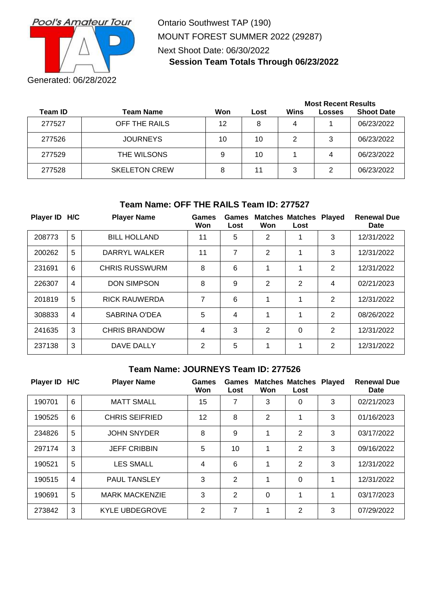

Ontario Southwest TAP (190) MOUNT FOREST SUMMER 2022 (29287) Next Shoot Date: 06/30/2022 **Session Team Totals Through 06/23/2022**

|         |                      |     |      | <b>Most Recent Results</b> |        |                   |  |
|---------|----------------------|-----|------|----------------------------|--------|-------------------|--|
| Team ID | <b>Team Name</b>     | Won | Lost | Wins                       | Losses | <b>Shoot Date</b> |  |
| 277527  | OFF THE RAILS        | 12  | 8    | 4                          |        | 06/23/2022        |  |
| 277526  | <b>JOURNEYS</b>      | 10  | 10   | 2                          | 3      | 06/23/2022        |  |
| 277529  | THE WILSONS          | 9   | 10   |                            | 4      | 06/23/2022        |  |
| 277528  | <b>SKELETON CREW</b> | 8   | 11   | 3                          | 2      | 06/23/2022        |  |

# **Team Name: OFF THE RAILS Team ID: 277527**

| Player ID H/C |                | <b>Player Name</b>    | Games<br>Won   | Games<br>Lost | Won | <b>Matches Matches</b><br>Lost | <b>Played</b>  | <b>Renewal Due</b><br>Date |
|---------------|----------------|-----------------------|----------------|---------------|-----|--------------------------------|----------------|----------------------------|
| 208773        | 5              | <b>BILL HOLLAND</b>   | 11             | 5             | 2   | 1                              | 3              | 12/31/2022                 |
| 200262        | 5              | DARRYL WALKER         | 11             | 7             | 2   | 1                              | 3              | 12/31/2022                 |
| 231691        | 6              | <b>CHRIS RUSSWURM</b> | 8              | 6             | 1   | 1                              | $\overline{2}$ | 12/31/2022                 |
| 226307        | 4              | <b>DON SIMPSON</b>    | 8              | 9             | 2   | $\overline{2}$                 | 4              | 02/21/2023                 |
| 201819        | 5              | <b>RICK RAUWERDA</b>  | 7              | 6             | 1   | 1                              | 2              | 12/31/2022                 |
| 308833        | $\overline{4}$ | SABRINA O'DEA         | 5              | 4             | 1   | 1                              | 2              | 08/26/2022                 |
| 241635        | 3              | <b>CHRIS BRANDOW</b>  | 4              | 3             | 2   | 0                              | 2              | 12/31/2022                 |
| 237138        | 3              | DAVE DALLY            | $\overline{2}$ | 5             | 1   | 1                              | $\overline{2}$ | 12/31/2022                 |

### **Team Name: JOURNEYS Team ID: 277526**

| Player ID H/C |                | <b>Player Name</b>    | Games<br>Won | Games<br>Lost  | Won            | <b>Matches Matches</b><br>Lost | <b>Played</b> | <b>Renewal Due</b><br><b>Date</b> |
|---------------|----------------|-----------------------|--------------|----------------|----------------|--------------------------------|---------------|-----------------------------------|
| 190701        | 6              | <b>MATT SMALL</b>     | 15           | 7              | 3              | 0                              | 3             | 02/21/2023                        |
| 190525        | 6              | <b>CHRIS SEIFRIED</b> | 12           | 8              | $\overline{2}$ | 1                              | 3             | 01/16/2023                        |
| 234826        | 5              | <b>JOHN SNYDER</b>    | 8            | 9              | 1              | 2                              | 3             | 03/17/2022                        |
| 297174        | 3              | <b>JEFF CRIBBIN</b>   | 5            | 10             | 1              | $\overline{2}$                 | 3             | 09/16/2022                        |
| 190521        | 5              | <b>LES SMALL</b>      | 4            | 6              | 1              | $\overline{2}$                 | 3             | 12/31/2022                        |
| 190515        | $\overline{4}$ | <b>PAUL TANSLEY</b>   | 3            | $\overline{2}$ | 1              | 0                              | 1             | 12/31/2022                        |
| 190691        | 5              | <b>MARK MACKENZIE</b> | 3            | 2              | 0              | 1                              | 1             | 03/17/2023                        |
| 273842        | 3              | <b>KYLE UBDEGROVE</b> | 2            | 7              | 1              | 2                              | 3             | 07/29/2022                        |